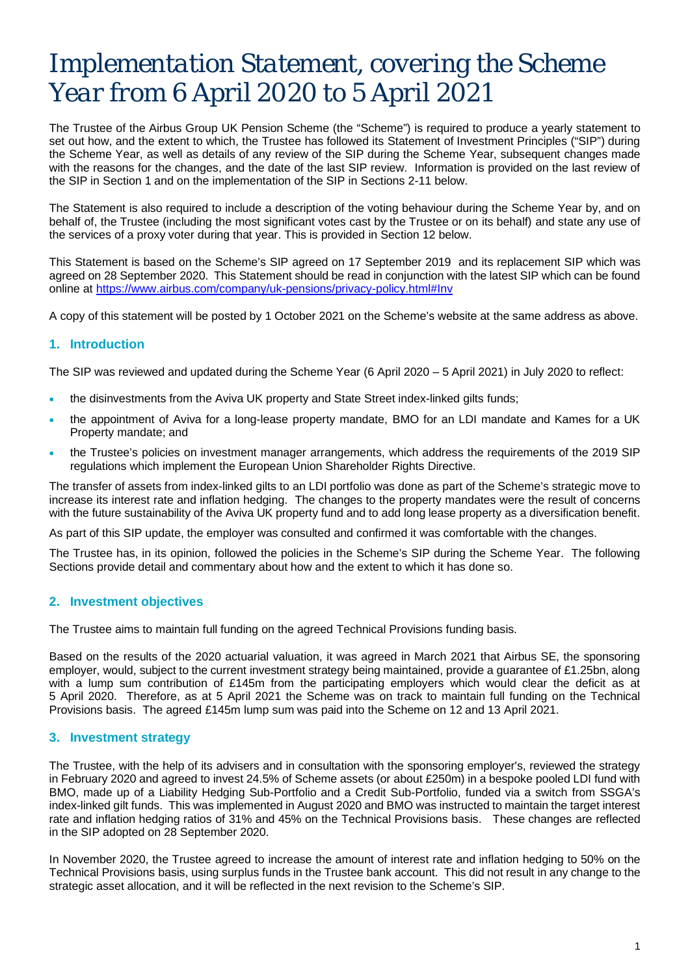# *Implementation Statement, covering the Scheme Year from 6 April 2020 to 5 April 2021*

The Trustee of the Airbus Group UK Pension Scheme (the "Scheme") is required to produce a yearly statement to set out how, and the extent to which, the Trustee has followed its Statement of Investment Principles ("SIP") during the Scheme Year, as well as details of any review of the SIP during the Scheme Year, subsequent changes made with the reasons for the changes, and the date of the last SIP review. Information is provided on the last review of the SIP in Section 1 and on the implementation of the SIP in Sections 2-11 below.

The Statement is also required to include a description of the voting behaviour during the Scheme Year by, and on behalf of, the Trustee (including the most significant votes cast by the Trustee or on its behalf) and state any use of the services of a proxy voter during that year. This is provided in Section 12 below.

This Statement is based on the Scheme's SIP agreed on 17 September 2019 and its replacement SIP which was agreed on 28 September 2020. This Statement should be read in conjunction with the latest SIP which can be found online at <https://www.airbus.com/company/uk-pensions/privacy-policy.html#Inv>

A copy of this statement will be posted by 1 October 2021 on the Scheme's website at the same address as above.

## **1. Introduction**

The SIP was reviewed and updated during the Scheme Year (6 April 2020 – 5 April 2021) in July 2020 to reflect:

- the disinvestments from the Aviva UK property and State Street index-linked gilts funds;
- the appointment of Aviva for a long-lease property mandate, BMO for an LDI mandate and Kames for a UK Property mandate; and
- the Trustee's policies on investment manager arrangements, which address the requirements of the 2019 SIP regulations which implement the European Union Shareholder Rights Directive.

The transfer of assets from index-linked gilts to an LDI portfolio was done as part of the Scheme's strategic move to increase its interest rate and inflation hedging. The changes to the property mandates were the result of concerns with the future sustainability of the Aviva UK property fund and to add long lease property as a diversification benefit.

As part of this SIP update, the employer was consulted and confirmed it was comfortable with the changes.

The Trustee has, in its opinion, followed the policies in the Scheme's SIP during the Scheme Year. The following Sections provide detail and commentary about how and the extent to which it has done so.

## **2. Investment objectives**

The Trustee aims to maintain full funding on the agreed Technical Provisions funding basis.

Based on the results of the 2020 actuarial valuation, it was agreed in March 2021 that Airbus SE, the sponsoring employer, would, subject to the current investment strategy being maintained, provide a guarantee of £1.25bn, along with a lump sum contribution of £145m from the participating employers which would clear the deficit as at 5 April 2020. Therefore, as at 5 April 2021 the Scheme was on track to maintain full funding on the Technical Provisions basis. The agreed £145m lump sum was paid into the Scheme on 12 and 13 April 2021.

## **3. Investment strategy**

The Trustee, with the help of its advisers and in consultation with the sponsoring employer's, reviewed the strategy in February 2020 and agreed to invest 24.5% of Scheme assets (or about £250m) in a bespoke pooled LDI fund with BMO, made up of a Liability Hedging Sub-Portfolio and a Credit Sub-Portfolio, funded via a switch from SSGA's index-linked gilt funds. This was implemented in August 2020 and BMO was instructed to maintain the target interest rate and inflation hedging ratios of 31% and 45% on the Technical Provisions basis. These changes are reflected in the SIP adopted on 28 September 2020.

In November 2020, the Trustee agreed to increase the amount of interest rate and inflation hedging to 50% on the Technical Provisions basis, using surplus funds in the Trustee bank account. This did not result in any change to the strategic asset allocation, and it will be reflected in the next revision to the Scheme's SIP.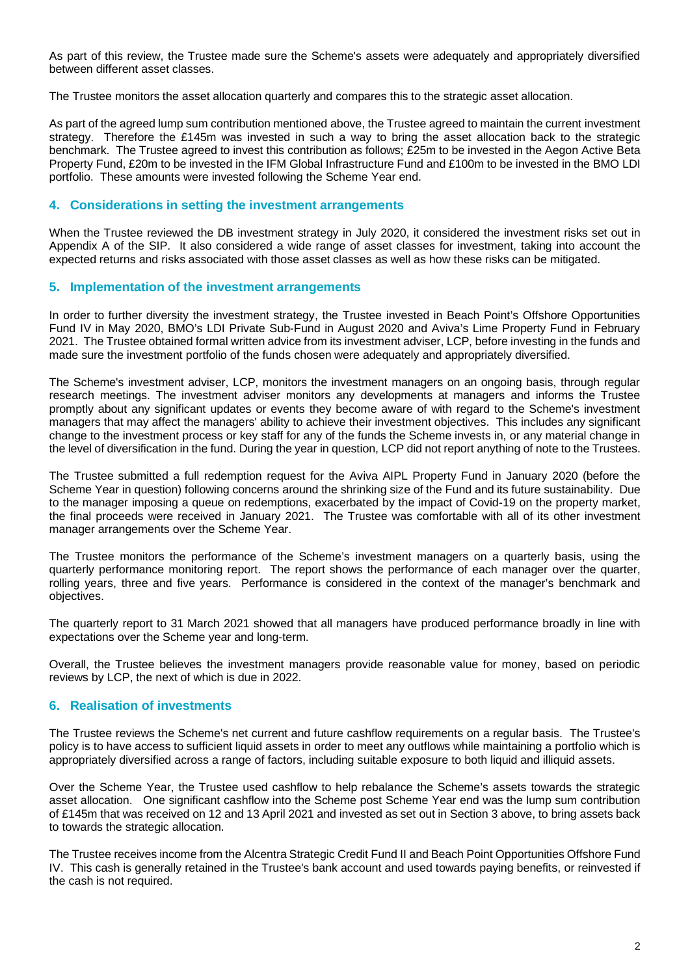As part of this review, the Trustee made sure the Scheme's assets were adequately and appropriately diversified between different asset classes.

The Trustee monitors the asset allocation quarterly and compares this to the strategic asset allocation.

As part of the agreed lump sum contribution mentioned above, the Trustee agreed to maintain the current investment strategy. Therefore the £145m was invested in such a way to bring the asset allocation back to the strategic benchmark. The Trustee agreed to invest this contribution as follows; £25m to be invested in the Aegon Active Beta Property Fund, £20m to be invested in the IFM Global Infrastructure Fund and £100m to be invested in the BMO LDI portfolio. These amounts were invested following the Scheme Year end.

# **4. Considerations in setting the investment arrangements**

When the Trustee reviewed the DB investment strategy in July 2020, it considered the investment risks set out in Appendix A of the SIP. It also considered a wide range of asset classes for investment, taking into account the expected returns and risks associated with those asset classes as well as how these risks can be mitigated.

# **5. Implementation of the investment arrangements**

In order to further diversity the investment strategy, the Trustee invested in Beach Point's Offshore Opportunities Fund IV in May 2020, BMO's LDI Private Sub-Fund in August 2020 and Aviva's Lime Property Fund in February 2021. The Trustee obtained formal written advice from its investment adviser, LCP, before investing in the funds and made sure the investment portfolio of the funds chosen were adequately and appropriately diversified.

The Scheme's investment adviser, LCP, monitors the investment managers on an ongoing basis, through regular research meetings. The investment adviser monitors any developments at managers and informs the Trustee promptly about any significant updates or events they become aware of with regard to the Scheme's investment managers that may affect the managers' ability to achieve their investment objectives. This includes any significant change to the investment process or key staff for any of the funds the Scheme invests in, or any material change in the level of diversification in the fund. During the year in question, LCP did not report anything of note to the Trustees.

The Trustee submitted a full redemption request for the Aviva AIPL Property Fund in January 2020 (before the Scheme Year in question) following concerns around the shrinking size of the Fund and its future sustainability. Due to the manager imposing a queue on redemptions, exacerbated by the impact of Covid-19 on the property market, the final proceeds were received in January 2021. The Trustee was comfortable with all of its other investment manager arrangements over the Scheme Year.

The Trustee monitors the performance of the Scheme's investment managers on a quarterly basis, using the quarterly performance monitoring report. The report shows the performance of each manager over the quarter, rolling years, three and five years. Performance is considered in the context of the manager's benchmark and objectives.

The quarterly report to 31 March 2021 showed that all managers have produced performance broadly in line with expectations over the Scheme year and long-term.

Overall, the Trustee believes the investment managers provide reasonable value for money, based on periodic reviews by LCP, the next of which is due in 2022.

# **6. Realisation of investments**

The Trustee reviews the Scheme's net current and future cashflow requirements on a regular basis. The Trustee's policy is to have access to sufficient liquid assets in order to meet any outflows while maintaining a portfolio which is appropriately diversified across a range of factors, including suitable exposure to both liquid and illiquid assets.

Over the Scheme Year, the Trustee used cashflow to help rebalance the Scheme's assets towards the strategic asset allocation. One significant cashflow into the Scheme post Scheme Year end was the lump sum contribution of £145m that was received on 12 and 13 April 2021 and invested as set out in Section 3 above, to bring assets back to towards the strategic allocation.

The Trustee receives income from the Alcentra Strategic Credit Fund II and Beach Point Opportunities Offshore Fund IV. This cash is generally retained in the Trustee's bank account and used towards paying benefits, or reinvested if the cash is not required.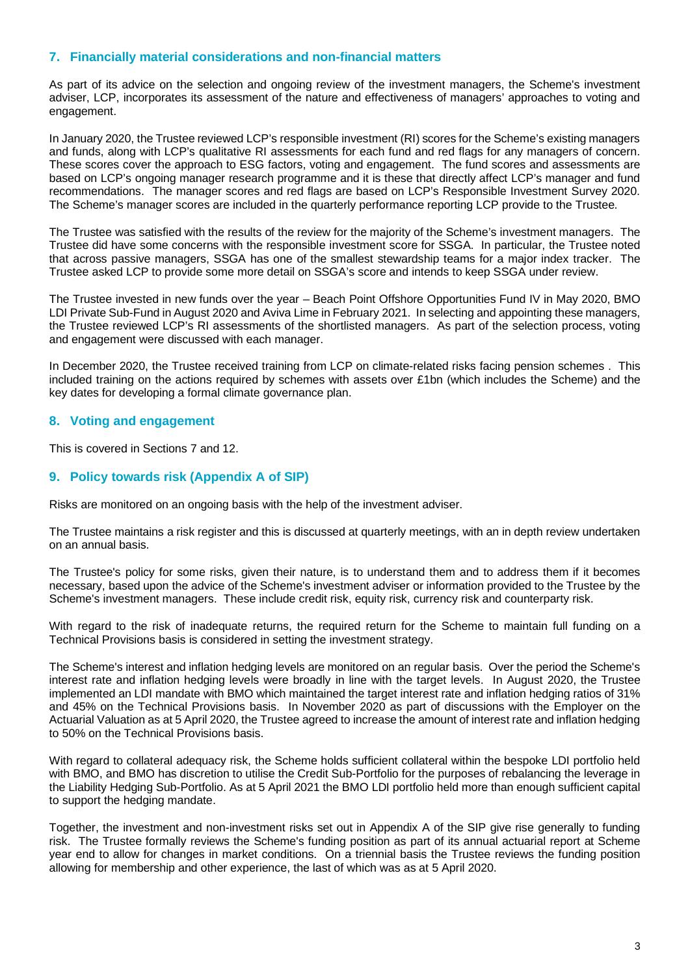# **7. Financially material considerations and non-financial matters**

As part of its advice on the selection and ongoing review of the investment managers, the Scheme's investment adviser, LCP, incorporates its assessment of the nature and effectiveness of managers' approaches to voting and engagement.

In January 2020, the Trustee reviewed LCP's responsible investment (RI) scores for the Scheme's existing managers and funds, along with LCP's qualitative RI assessments for each fund and red flags for any managers of concern. These scores cover the approach to ESG factors, voting and engagement. The fund scores and assessments are based on LCP's ongoing manager research programme and it is these that directly affect LCP's manager and fund recommendations. The manager scores and red flags are based on LCP's Responsible Investment Survey 2020. The Scheme's manager scores are included in the quarterly performance reporting LCP provide to the Trustee.

The Trustee was satisfied with the results of the review for the majority of the Scheme's investment managers. The Trustee did have some concerns with the responsible investment score for SSGA. In particular, the Trustee noted that across passive managers, SSGA has one of the smallest stewardship teams for a major index tracker. The Trustee asked LCP to provide some more detail on SSGA's score and intends to keep SSGA under review.

The Trustee invested in new funds over the year – Beach Point Offshore Opportunities Fund IV in May 2020, BMO LDI Private Sub-Fund in August 2020 and Aviva Lime in February 2021. In selecting and appointing these managers, the Trustee reviewed LCP's RI assessments of the shortlisted managers. As part of the selection process, voting and engagement were discussed with each manager.

In December 2020, the Trustee received training from LCP on climate-related risks facing pension schemes . This included training on the actions required by schemes with assets over £1bn (which includes the Scheme) and the key dates for developing a formal climate governance plan.

## **8. Voting and engagement**

This is covered in Sections 7 and 12.

# **9. Policy towards risk (Appendix A of SIP)**

Risks are monitored on an ongoing basis with the help of the investment adviser.

The Trustee maintains a risk register and this is discussed at quarterly meetings, with an in depth review undertaken on an annual basis.

The Trustee's policy for some risks, given their nature, is to understand them and to address them if it becomes necessary, based upon the advice of the Scheme's investment adviser or information provided to the Trustee by the Scheme's investment managers. These include credit risk, equity risk, currency risk and counterparty risk.

With regard to the risk of inadequate returns, the required return for the Scheme to maintain full funding on a Technical Provisions basis is considered in setting the investment strategy.

The Scheme's interest and inflation hedging levels are monitored on an regular basis. Over the period the Scheme's interest rate and inflation hedging levels were broadly in line with the target levels. In August 2020, the Trustee implemented an LDI mandate with BMO which maintained the target interest rate and inflation hedging ratios of 31% and 45% on the Technical Provisions basis. In November 2020 as part of discussions with the Employer on the Actuarial Valuation as at 5 April 2020, the Trustee agreed to increase the amount of interest rate and inflation hedging to 50% on the Technical Provisions basis.

With regard to collateral adequacy risk, the Scheme holds sufficient collateral within the bespoke LDI portfolio held with BMO, and BMO has discretion to utilise the Credit Sub-Portfolio for the purposes of rebalancing the leverage in the Liability Hedging Sub-Portfolio. As at 5 April 2021 the BMO LDI portfolio held more than enough sufficient capital to support the hedging mandate.

Together, the investment and non-investment risks set out in Appendix A of the SIP give rise generally to funding risk. The Trustee formally reviews the Scheme's funding position as part of its annual actuarial report at Scheme year end to allow for changes in market conditions. On a triennial basis the Trustee reviews the funding position allowing for membership and other experience, the last of which was as at 5 April 2020.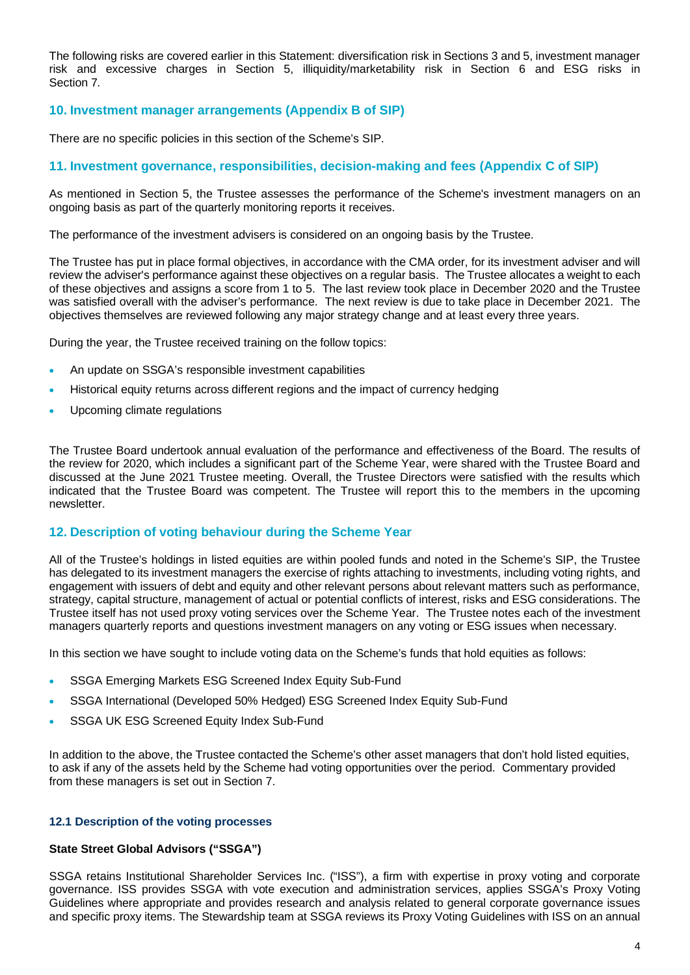The following risks are covered earlier in this Statement: diversification risk in Sections 3 and 5, investment manager risk and excessive charges in Section 5, illiquidity/marketability risk in Section 6 and ESG risks in Section 7*.*

# **10. Investment manager arrangements (Appendix B of SIP)**

There are no specific policies in this section of the Scheme's SIP.

# **11. Investment governance, responsibilities, decision-making and fees (Appendix C of SIP)**

As mentioned in Section 5, the Trustee assesses the performance of the Scheme's investment managers on an ongoing basis as part of the quarterly monitoring reports it receives.

The performance of the investment advisers is considered on an ongoing basis by the Trustee.

The Trustee has put in place formal objectives, in accordance with the CMA order, for its investment adviser and will review the adviser's performance against these objectives on a regular basis. The Trustee allocates a weight to each of these objectives and assigns a score from 1 to 5. The last review took place in December 2020 and the Trustee was satisfied overall with the adviser's performance. The next review is due to take place in December 2021. The objectives themselves are reviewed following any major strategy change and at least every three years.

During the year, the Trustee received training on the follow topics:

- An update on SSGA's responsible investment capabilities
- Historical equity returns across different regions and the impact of currency hedging
- Upcoming climate regulations

The Trustee Board undertook annual evaluation of the performance and effectiveness of the Board. The results of the review for 2020, which includes a significant part of the Scheme Year, were shared with the Trustee Board and discussed at the June 2021 Trustee meeting. Overall, the Trustee Directors were satisfied with the results which indicated that the Trustee Board was competent. The Trustee will report this to the members in the upcoming newsletter.

# **12. Description of voting behaviour during the Scheme Year**

All of the Trustee's holdings in listed equities are within pooled funds and noted in the Scheme's SIP, the Trustee has delegated to its investment managers the exercise of rights attaching to investments, including voting rights, and engagement with issuers of debt and equity and other relevant persons about relevant matters such as performance, strategy, capital structure, management of actual or potential conflicts of interest, risks and ESG considerations. The Trustee itself has not used proxy voting services over the Scheme Year. The Trustee notes each of the investment managers quarterly reports and questions investment managers on any voting or ESG issues when necessary.

In this section we have sought to include voting data on the Scheme's funds that hold equities as follows:

- SSGA Emerging Markets ESG Screened Index Equity Sub-Fund
- SSGA International (Developed 50% Hedged) ESG Screened Index Equity Sub-Fund
- SSGA UK ESG Screened Equity Index Sub-Fund

In addition to the above, the Trustee contacted the Scheme's other asset managers that don't hold listed equities, to ask if any of the assets held by the Scheme had voting opportunities over the period. Commentary provided from these managers is set out in Section 7.

#### **12.1 Description of the voting processes**

#### **State Street Global Advisors ("SSGA")**

SSGA retains Institutional Shareholder Services Inc. ("ISS"), a firm with expertise in proxy voting and corporate governance. ISS provides SSGA with vote execution and administration services, applies SSGA's Proxy Voting Guidelines where appropriate and provides research and analysis related to general corporate governance issues and specific proxy items. The Stewardship team at SSGA reviews its Proxy Voting Guidelines with ISS on an annual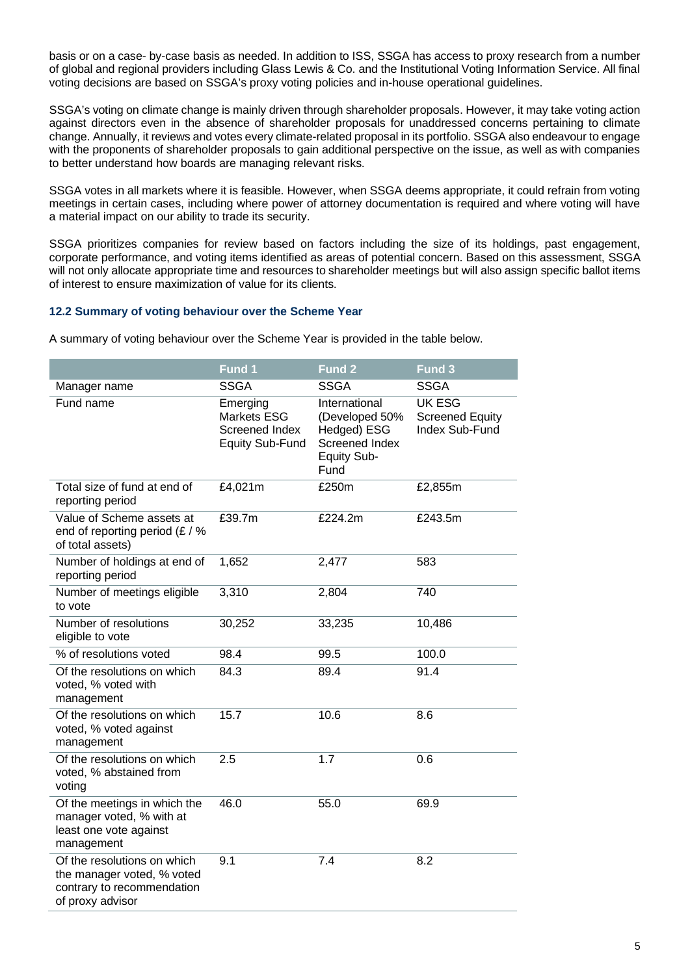basis or on a case- by-case basis as needed. In addition to ISS, SSGA has access to proxy research from a number of global and regional providers including Glass Lewis & Co. and the Institutional Voting Information Service. All final voting decisions are based on SSGA's proxy voting policies and in-house operational guidelines.

SSGA's voting on climate change is mainly driven through shareholder proposals. However, it may take voting action against directors even in the absence of shareholder proposals for unaddressed concerns pertaining to climate change. Annually, it reviews and votes every climate-related proposal in its portfolio. SSGA also endeavour to engage with the proponents of shareholder proposals to gain additional perspective on the issue, as well as with companies to better understand how boards are managing relevant risks.

SSGA votes in all markets where it is feasible. However, when SSGA deems appropriate, it could refrain from voting meetings in certain cases, including where power of attorney documentation is required and where voting will have a material impact on our ability to trade its security.

SSGA prioritizes companies for review based on factors including the size of its holdings, past engagement, corporate performance, and voting items identified as areas of potential concern. Based on this assessment, SSGA will not only allocate appropriate time and resources to shareholder meetings but will also assign specific ballot items of interest to ensure maximization of value for its clients.

#### **12.2 Summary of voting behaviour over the Scheme Year**

A summary of voting behaviour over the Scheme Year is provided in the table below.

|                                                                                                             | Fund 1                                                                     | Fund <sub>2</sub>                                                                                     | Fund 3                                                    |
|-------------------------------------------------------------------------------------------------------------|----------------------------------------------------------------------------|-------------------------------------------------------------------------------------------------------|-----------------------------------------------------------|
| Manager name                                                                                                | <b>SSGA</b>                                                                | <b>SSGA</b>                                                                                           | <b>SSGA</b>                                               |
| Fund name                                                                                                   | Emerging<br><b>Markets ESG</b><br>Screened Index<br><b>Equity Sub-Fund</b> | International<br>(Developed 50%<br>Hedged) ESG<br><b>Screened Index</b><br><b>Equity Sub-</b><br>Fund | <b>UK ESG</b><br><b>Screened Equity</b><br>Index Sub-Fund |
| Total size of fund at end of<br>reporting period                                                            | £4,021m                                                                    | £250m                                                                                                 | £2,855m                                                   |
| Value of Scheme assets at<br>end of reporting period $(E / \%)$<br>of total assets)                         | £39.7m                                                                     | £224.2m                                                                                               | £243.5m                                                   |
| Number of holdings at end of<br>reporting period                                                            | 1,652                                                                      | 2,477                                                                                                 | 583                                                       |
| Number of meetings eligible<br>to vote                                                                      | 3,310                                                                      | 2,804                                                                                                 | 740                                                       |
| Number of resolutions<br>eligible to vote                                                                   | 30,252                                                                     | 33,235                                                                                                | 10,486                                                    |
| % of resolutions voted                                                                                      | 98.4                                                                       | 99.5                                                                                                  | 100.0                                                     |
| Of the resolutions on which<br>voted, % voted with<br>management                                            | 84.3                                                                       | 89.4                                                                                                  | 91.4                                                      |
| Of the resolutions on which<br>voted, % voted against<br>management                                         | 15.7                                                                       | 10.6                                                                                                  | 8.6                                                       |
| Of the resolutions on which<br>voted, % abstained from<br>voting                                            | 2.5                                                                        | 1.7                                                                                                   | 0.6                                                       |
| Of the meetings in which the<br>manager voted, % with at<br>least one vote against<br>management            | 46.0                                                                       | 55.0                                                                                                  | 69.9                                                      |
| Of the resolutions on which<br>the manager voted, % voted<br>contrary to recommendation<br>of proxy advisor | 9.1                                                                        | 7.4                                                                                                   | 8.2                                                       |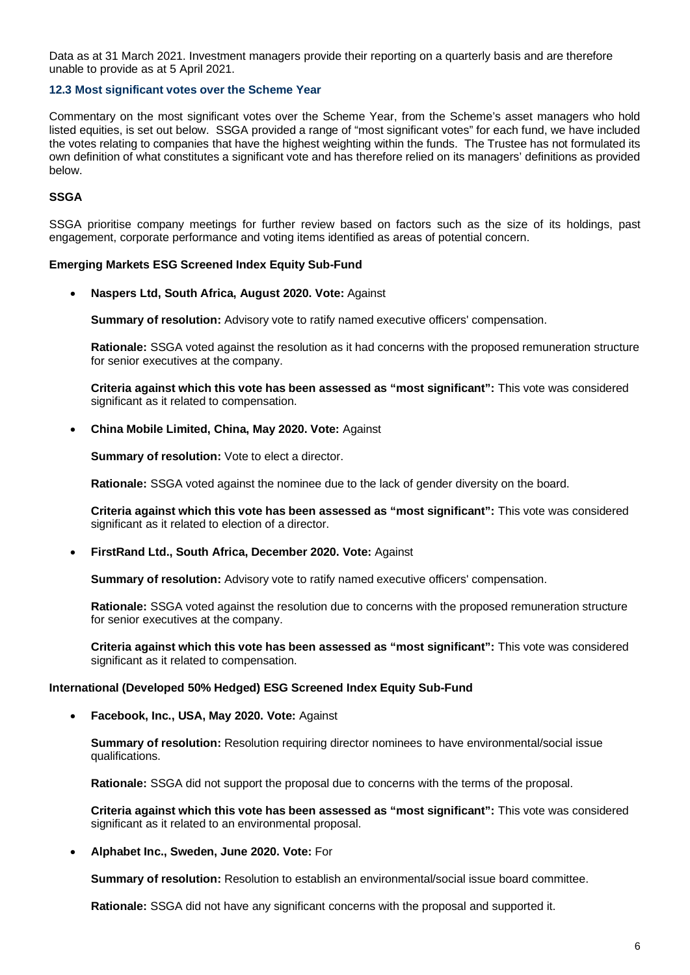Data as at 31 March 2021. Investment managers provide their reporting on a quarterly basis and are therefore unable to provide as at 5 April 2021.

#### **12.3 Most significant votes over the Scheme Year**

Commentary on the most significant votes over the Scheme Year, from the Scheme's asset managers who hold listed equities, is set out below. SSGA provided a range of "most significant votes" for each fund, we have included the votes relating to companies that have the highest weighting within the funds. The Trustee has not formulated its own definition of what constitutes a significant vote and has therefore relied on its managers' definitions as provided below.

## **SSGA**

SSGA prioritise company meetings for further review based on factors such as the size of its holdings, past engagement, corporate performance and voting items identified as areas of potential concern.

#### **Emerging Markets ESG Screened Index Equity Sub-Fund**

**Naspers Ltd, South Africa, August 2020. Vote:** Against

**Summary of resolution:** Advisory vote to ratify named executive officers' compensation.

**Rationale:** SSGA voted against the resolution as it had concerns with the proposed remuneration structure for senior executives at the company.

**Criteria against which this vote has been assessed as "most significant":** This vote was considered significant as it related to compensation.

#### **China Mobile Limited, China, May 2020. Vote:** Against

**Summary of resolution:** Vote to elect a director.

**Rationale:** SSGA voted against the nominee due to the lack of gender diversity on the board.

**Criteria against which this vote has been assessed as "most significant":** This vote was considered significant as it related to election of a director.

**FirstRand Ltd., South Africa, December 2020. Vote:** Against

**Summary of resolution:** Advisory vote to ratify named executive officers' compensation.

**Rationale:** SSGA voted against the resolution due to concerns with the proposed remuneration structure for senior executives at the company.

**Criteria against which this vote has been assessed as "most significant":** This vote was considered significant as it related to compensation.

#### **International (Developed 50% Hedged) ESG Screened Index Equity Sub-Fund**

**Facebook, Inc., USA, May 2020. Vote:** Against

**Summary of resolution:** Resolution requiring director nominees to have environmental/social issue qualifications.

**Rationale:** SSGA did not support the proposal due to concerns with the terms of the proposal.

**Criteria against which this vote has been assessed as "most significant":** This vote was considered significant as it related to an environmental proposal.

**Alphabet Inc., Sweden, June 2020. Vote:** For

**Summary of resolution:** Resolution to establish an environmental/social issue board committee.

**Rationale:** SSGA did not have any significant concerns with the proposal and supported it.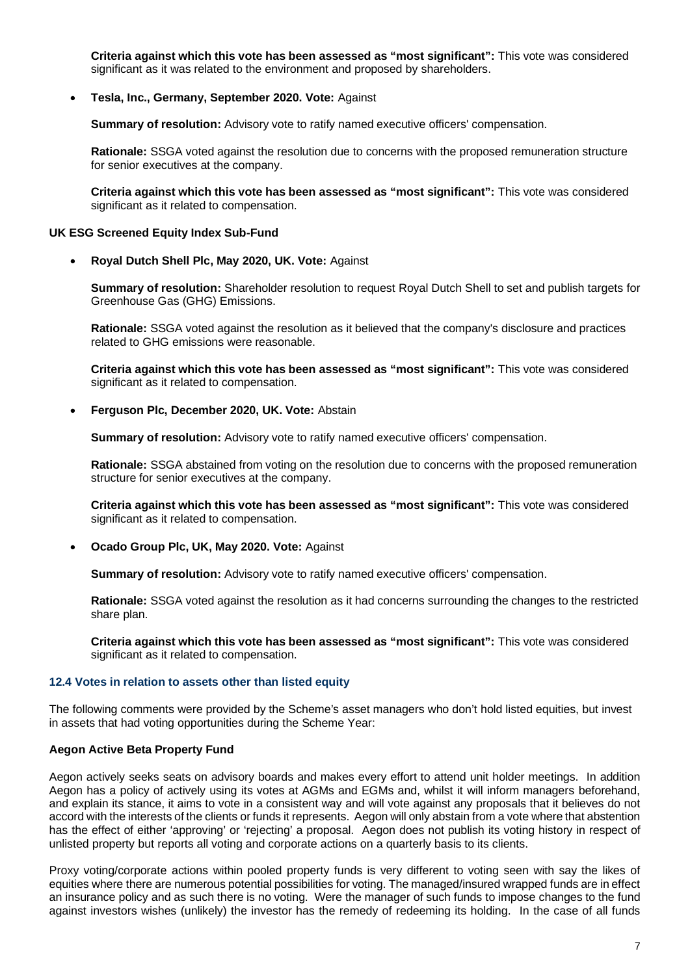**Criteria against which this vote has been assessed as "most significant":** This vote was considered significant as it was related to the environment and proposed by shareholders.

#### **Tesla, Inc., Germany, September 2020. Vote:** Against

**Summary of resolution:** Advisory vote to ratify named executive officers' compensation.

**Rationale:** SSGA voted against the resolution due to concerns with the proposed remuneration structure for senior executives at the company.

**Criteria against which this vote has been assessed as "most significant":** This vote was considered significant as it related to compensation.

## **UK ESG Screened Equity Index Sub-Fund**

**Royal Dutch Shell Plc, May 2020, UK. Vote:** Against

**Summary of resolution:** Shareholder resolution to request Royal Dutch Shell to set and publish targets for Greenhouse Gas (GHG) Emissions.

**Rationale:** SSGA voted against the resolution as it believed that the company's disclosure and practices related to GHG emissions were reasonable.

**Criteria against which this vote has been assessed as "most significant":** This vote was considered significant as it related to compensation.

**Ferguson Plc, December 2020, UK. Vote:** Abstain

**Summary of resolution:** Advisory vote to ratify named executive officers' compensation.

**Rationale:** SSGA abstained from voting on the resolution due to concerns with the proposed remuneration structure for senior executives at the company.

**Criteria against which this vote has been assessed as "most significant":** This vote was considered significant as it related to compensation.

**Ocado Group Plc, UK, May 2020. Vote:** Against

**Summary of resolution:** Advisory vote to ratify named executive officers' compensation.

**Rationale:** SSGA voted against the resolution as it had concerns surrounding the changes to the restricted share plan.

**Criteria against which this vote has been assessed as "most significant":** This vote was considered significant as it related to compensation.

## **12.4 Votes in relation to assets other than listed equity**

The following comments were provided by the Scheme's asset managers who don't hold listed equities, but invest in assets that had voting opportunities during the Scheme Year:

## **Aegon Active Beta Property Fund**

Aegon actively seeks seats on advisory boards and makes every effort to attend unit holder meetings. In addition Aegon has a policy of actively using its votes at AGMs and EGMs and, whilst it will inform managers beforehand, and explain its stance, it aims to vote in a consistent way and will vote against any proposals that it believes do not accord with the interests of the clients or funds it represents. Aegon will only abstain from a vote where that abstention has the effect of either 'approving' or 'rejecting' a proposal. Aegon does not publish its voting history in respect of unlisted property but reports all voting and corporate actions on a quarterly basis to its clients.

Proxy voting/corporate actions within pooled property funds is very different to voting seen with say the likes of equities where there are numerous potential possibilities for voting. The managed/insured wrapped funds are in effect an insurance policy and as such there is no voting. Were the manager of such funds to impose changes to the fund against investors wishes (unlikely) the investor has the remedy of redeeming its holding. In the case of all funds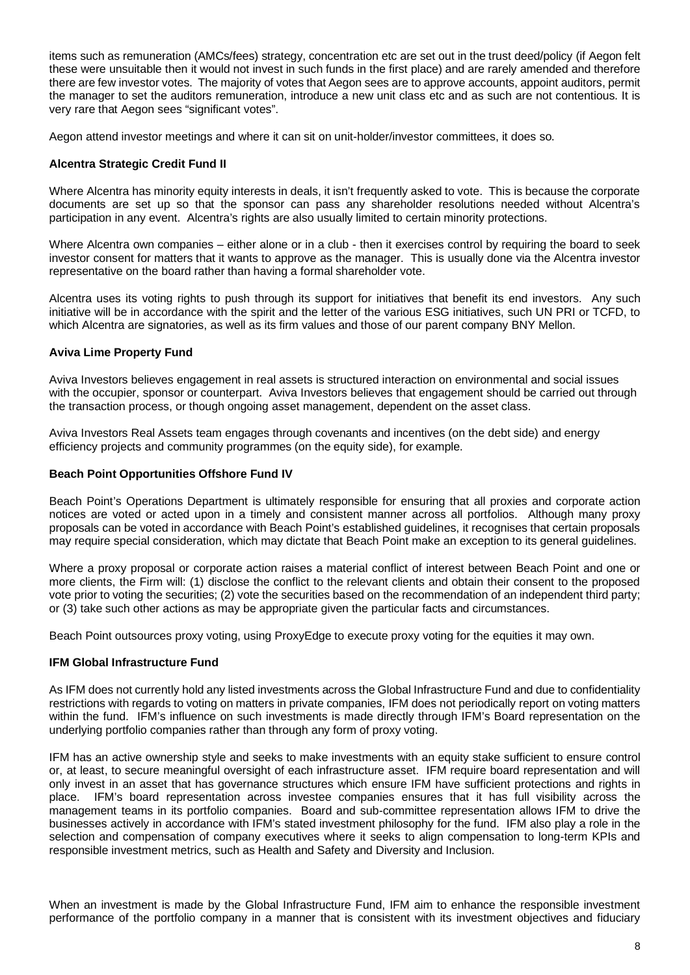items such as remuneration (AMCs/fees) strategy, concentration etc are set out in the trust deed/policy (if Aegon felt these were unsuitable then it would not invest in such funds in the first place) and are rarely amended and therefore there are few investor votes. The majority of votes that Aegon sees are to approve accounts, appoint auditors, permit the manager to set the auditors remuneration, introduce a new unit class etc and as such are not contentious. It is very rare that Aegon sees "significant votes".

Aegon attend investor meetings and where it can sit on unit-holder/investor committees, it does so.

#### **Alcentra Strategic Credit Fund II**

Where Alcentra has minority equity interests in deals, it isn't frequently asked to vote. This is because the corporate documents are set up so that the sponsor can pass any shareholder resolutions needed without Alcentra's participation in any event. Alcentra's rights are also usually limited to certain minority protections.

Where Alcentra own companies – either alone or in a club - then it exercises control by requiring the board to seek investor consent for matters that it wants to approve as the manager. This is usually done via the Alcentra investor representative on the board rather than having a formal shareholder vote.

Alcentra uses its voting rights to push through its support for initiatives that benefit its end investors. Any such initiative will be in accordance with the spirit and the letter of the various ESG initiatives, such UN PRI or TCFD, to which Alcentra are signatories, as well as its firm values and those of our parent company BNY Mellon.

#### **Aviva Lime Property Fund**

Aviva Investors believes engagement in real assets is structured interaction on environmental and social issues with the occupier, sponsor or counterpart. Aviva Investors believes that engagement should be carried out through the transaction process, or though ongoing asset management, dependent on the asset class.

Aviva Investors Real Assets team engages through covenants and incentives (on the debt side) and energy efficiency projects and community programmes (on the equity side), for example.

#### **Beach Point Opportunities Offshore Fund IV**

Beach Point's Operations Department is ultimately responsible for ensuring that all proxies and corporate action notices are voted or acted upon in a timely and consistent manner across all portfolios. Although many proxy proposals can be voted in accordance with Beach Point's established guidelines, it recognises that certain proposals may require special consideration, which may dictate that Beach Point make an exception to its general guidelines.

Where a proxy proposal or corporate action raises a material conflict of interest between Beach Point and one or more clients, the Firm will: (1) disclose the conflict to the relevant clients and obtain their consent to the proposed vote prior to voting the securities; (2) vote the securities based on the recommendation of an independent third party; or (3) take such other actions as may be appropriate given the particular facts and circumstances.

Beach Point outsources proxy voting, using ProxyEdge to execute proxy voting for the equities it may own.

#### **IFM Global Infrastructure Fund**

As IFM does not currently hold any listed investments across the Global Infrastructure Fund and due to confidentiality restrictions with regards to voting on matters in private companies, IFM does not periodically report on voting matters within the fund. IFM's influence on such investments is made directly through IFM's Board representation on the underlying portfolio companies rather than through any form of proxy voting.

IFM has an active ownership style and seeks to make investments with an equity stake sufficient to ensure control or, at least, to secure meaningful oversight of each infrastructure asset. IFM require board representation and will only invest in an asset that has governance structures which ensure IFM have sufficient protections and rights in place. IFM's board representation across investee companies ensures that it has full visibility across the management teams in its portfolio companies. Board and sub-committee representation allows IFM to drive the businesses actively in accordance with IFM's stated investment philosophy for the fund. IFM also play a role in the selection and compensation of company executives where it seeks to align compensation to long-term KPIs and responsible investment metrics, such as Health and Safety and Diversity and Inclusion.

When an investment is made by the Global Infrastructure Fund, IFM aim to enhance the responsible investment performance of the portfolio company in a manner that is consistent with its investment objectives and fiduciary